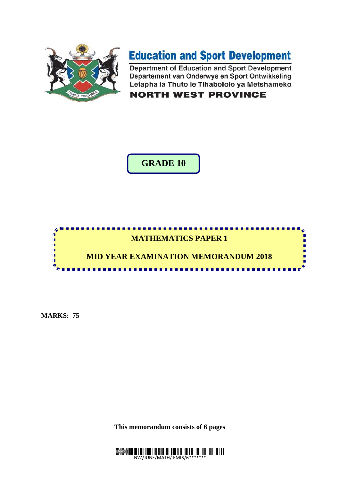

# **Education and Sport Development**

Department of Education and Sport Development Departement van Onderwys en Sport Ontwikkeling Lefapha la Thuto le Tihabololo ya Metshameko

**NORTH WEST PROVINCE** 

## **GRADE 10**



**MARKS: 75**

**This memorandum consists of 6 pages** 

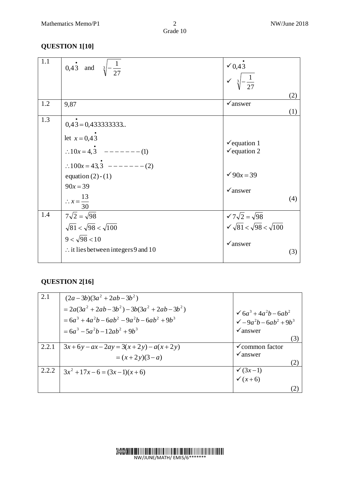Grade 10

### **QUESTION 1[10]**

| 1.1 | 0,43 and $\sqrt[3]{-\frac{1}{27}}$             | $\times 0,43$<br>$\sqrt{3} - \frac{1}{27}$                                    |     |
|-----|------------------------------------------------|-------------------------------------------------------------------------------|-----|
|     |                                                |                                                                               |     |
|     |                                                |                                                                               | (2) |
| 1.2 | 9,87                                           | $\checkmark$ answer                                                           |     |
|     |                                                |                                                                               | (1) |
| 1.3 | $0,43 = 0,4333333333$                          |                                                                               |     |
|     |                                                |                                                                               |     |
|     | let $x = 0,43$                                 | $\checkmark$ equation 1                                                       |     |
|     | $\therefore 10x = 4,3$ -------(1)              | $\checkmark$ equation 2                                                       |     |
|     |                                                |                                                                               |     |
|     | $\therefore 100x = 43.3$ -------(2)            |                                                                               |     |
|     | equation $(2)-(1)$                             | $\sqrt{90x} = 39$                                                             |     |
|     | $90x = 39$                                     | $\checkmark$ answer                                                           |     |
|     |                                                |                                                                               | (4) |
|     | $\therefore x = \frac{13}{30}$                 |                                                                               |     |
| 1.4 | $7\sqrt{2}=\sqrt{98}$                          | $\sqrt{7\sqrt{2}} = \sqrt{98}$<br>$\sqrt{\sqrt{81}} < \sqrt{98} < \sqrt{100}$ |     |
|     | $\sqrt{81} < \sqrt{98} < \sqrt{100}$           |                                                                               |     |
|     | $9 < \sqrt{98} < 10$                           | $\checkmark$ answer                                                           |     |
|     | $\therefore$ it lies between integers 9 and 10 |                                                                               | (3) |
|     |                                                |                                                                               |     |

### **QUESTION 2[16]**

| 2.1   | $(2a-3b)(3a^{2}+2ab-3b^{2})$                   |                                                                      |
|-------|------------------------------------------------|----------------------------------------------------------------------|
|       | $=2a(3a^{2}+2ab-3b^{2})-3b(3a^{2}+2ab-3b^{2})$ | $6a^3 + 4a^2b - 6ab^2$                                               |
|       | $=6a^3+4a^2b-6ab^2-9a^2b-6ab^2+9b^3$           | $\sqrt{-9a^2b-6ab^2+9b^3}$                                           |
|       | $=6a^3-5a^2b-12ab^2+9b^3$                      | $\checkmark$ answer                                                  |
|       |                                                | (3)                                                                  |
| 2.2.1 | $3x+6y-ax-2ay=3(x+2y)-a(x+2y)$                 | $\checkmark$ common factor                                           |
|       | $=(x+2y)(3-a)$                                 | $\checkmark$ answer                                                  |
|       |                                                |                                                                      |
| 2.2.2 | $3x^2 + 17x - 6 = (3x - 1)(x + 6)$             | $\begin{array}{c}\n\checkmark(3x-1) \\ \checkmark(x+6)\n\end{array}$ |
|       |                                                |                                                                      |
|       |                                                |                                                                      |

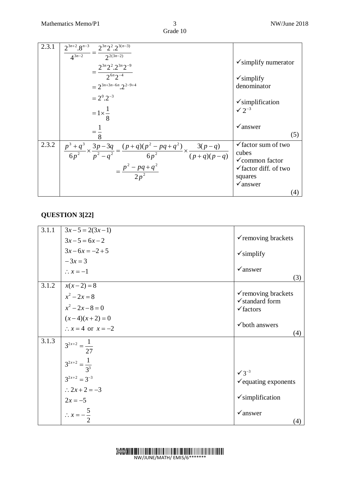| 2.3.1 | $2^{3n+2} \cdot 8^{n-3}$ $2^{3n} 2^2 \cdot 2^{3(n-3)}$                                                                               |                                         |
|-------|--------------------------------------------------------------------------------------------------------------------------------------|-----------------------------------------|
|       | $\frac{1}{4^{3n-2}} = \frac{1}{2^{(3n-2)}}$<br>$2^{3n}2^2 \cdot 2^{3n}2^{-9}$                                                        | $\checkmark$ simplify numerator         |
|       | $=\frac{2^{6n}2^{-4}}{2^{6n}2^{-4}}$<br>$= 2^{3n+3n-6n} 2^{2-9+4}$                                                                   | $\checkmark$ simplify<br>denominator    |
|       |                                                                                                                                      |                                         |
|       | $= 2^{0}.2^{-3}$                                                                                                                     | $\checkmark$ simplification             |
|       | $=1\times\frac{1}{8}$                                                                                                                | $\sqrt{2^{-3}}$                         |
|       | $=$ $\stackrel{1}{-}$                                                                                                                | $\sqrt{a}$ nswer                        |
|       |                                                                                                                                      | (5)                                     |
| 2.3.2 | $\left  \frac{p^3+q^3}{6p^2} \times \frac{3p-3q}{p^2-q^2} = \frac{(p+q)(p^2-pq+q^2)}{6p^2} \times \frac{3(p-q)}{(p+q)(p-q)} \right $ | $\checkmark$ factor sum of two<br>cubes |
|       |                                                                                                                                      | $\checkmark$ common factor              |
|       | $=\frac{p^2 - pq + q^2}{2 n^2}$                                                                                                      | $\checkmark$ factor diff. of two        |
|       |                                                                                                                                      | squares                                 |
|       |                                                                                                                                      | $\checkmark$ answer                     |
|       |                                                                                                                                      | $\left( 4\right)$                       |

#### **QUESTION 3[22]**

| 3.1.1 | $3x-5=2(3x-1)$<br>$3x-5=6x-2$                                                                                                                            | $\checkmark$ removing brackets                                                                                           |
|-------|----------------------------------------------------------------------------------------------------------------------------------------------------------|--------------------------------------------------------------------------------------------------------------------------|
|       | $3x-6x = -2+5$<br>$-3x = 3$                                                                                                                              | $\checkmark$ simplify                                                                                                    |
|       | $\therefore x = -1$                                                                                                                                      | $\checkmark$ answer<br>(3)                                                                                               |
| 3.1.2 | $x(x-2) = 8$<br>$x^2 - 2x = 8$<br>$x^2-2x-8=0$<br>$(x-4)(x+2) = 0$<br>$\therefore$ x = 4 or x = -2                                                       | $\checkmark$ removing brackets<br>$\checkmark$ standard form<br>$\checkmark$ factors<br>$\checkmark$ both answers<br>(4) |
| 3.1.3 | $3^{2x+2} = \frac{1}{27}$<br>$3^{2x+2} = \frac{1}{3^3}$<br>$3^{2x+2} = 3^{-3}$<br>$\therefore 2x + 2 = -3$<br>$2x = -5$<br>$\therefore x = -\frac{5}{2}$ | $\sqrt{3}^{-3}$<br>$\checkmark$ equating exponents<br>$\checkmark$ simplification<br>$\checkmark$ answer<br>(4)          |

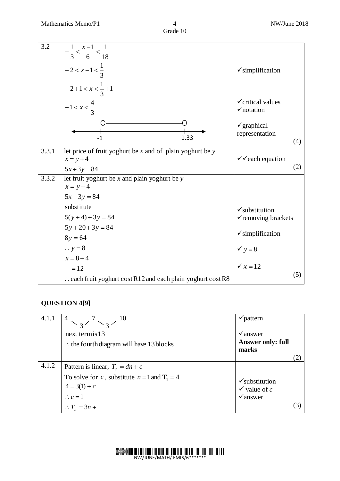| 3.2   | $-\frac{1}{3} < \frac{x-1}{6} < \frac{1}{18}$                           |                                                       |
|-------|-------------------------------------------------------------------------|-------------------------------------------------------|
|       |                                                                         |                                                       |
|       | $-2 < x-1 < \frac{1}{3}$                                                | $\checkmark$ simplification                           |
|       | $-2+1 < x < \frac{1}{3}+1$                                              |                                                       |
|       | $-1 < x < \frac{4}{3}$                                                  | $\checkmark$ critical values<br>$\checkmark$ notation |
|       | 1.33<br>$-1$                                                            | $\checkmark$ graphical<br>representation<br>(4)       |
| 3.3.1 | let price of fruit yoghurt be $x$ and of plain yoghurt be $y$           |                                                       |
|       | $x = y + 4$                                                             | $\checkmark$ each equation                            |
|       | $5x+3y=84$                                                              | (2)                                                   |
| 3.3.2 | let fruit yoghurt be $x$ and plain yoghurt be $y$<br>$x = y + 4$        |                                                       |
|       | $5x + 3y = 84$                                                          |                                                       |
|       | substitute                                                              | $\checkmark$ substitution                             |
|       | $5(y+4)+3y=84$                                                          | √removing brackets                                    |
|       | $5y + 20 + 3y = 84$                                                     |                                                       |
|       | $8y = 64$                                                               | $\checkmark$ simplification                           |
|       | $\therefore$ y = 8                                                      | $y = 8$                                               |
|       | $x = 8 + 4$                                                             |                                                       |
|       | $=12$                                                                   | $\sqrt{x} = 12$                                       |
|       | $\therefore$ each fruit yoghurt cost R12 and each plain yoghurt cost R8 | (5)                                                   |

### **QUESTION 4[9]**

| 4.1.1 | next termis 13<br>$\therefore$ the fourth diagram will have 13 blocks                                                                                      | $\checkmark$ pattern<br>$\sqrt{a}$ nswer<br><b>Answer only: full</b><br>marks |     |
|-------|------------------------------------------------------------------------------------------------------------------------------------------------------------|-------------------------------------------------------------------------------|-----|
| 4.1.2 | Pattern is linear, $T_n = dn + c$<br>To solve for c, substitute $n = 1$ and $T_1 = 4$<br>$4 = 3(1) + c$<br>$\therefore c = 1$<br>$\therefore T_n = 3n + 1$ | $\checkmark$ substitution<br>$\checkmark$ value of c<br>$\checkmark$ answer   | (3) |

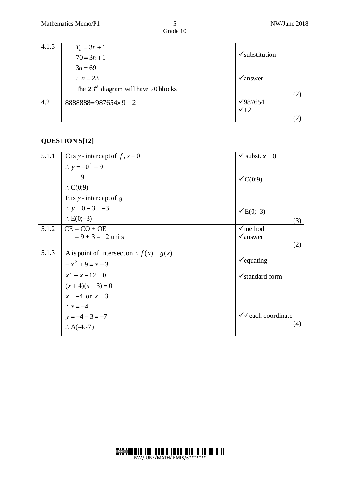| 4.1.3 | $T_n = 3n + 1$                         |                           |  |
|-------|----------------------------------------|---------------------------|--|
|       | $70 = 3n + 1$                          | $\checkmark$ substitution |  |
|       | $3n = 69$                              |                           |  |
|       | $\therefore n = 23$                    | $\sqrt{a}$ answer         |  |
|       | The $23rd$ diagram will have 70 blocks |                           |  |
|       |                                        |                           |  |
| 4.2   | $8888888 = 987654 \times 9 + 2$        | $\sqrt{987654}$           |  |
|       |                                        | $\checkmark$ +2           |  |
|       |                                        |                           |  |

#### **QUESTION 5[12]**

| 5.1.1 | C is y-intercept of $f, x = 0$             | $\checkmark$ subst. $x=0$    |
|-------|--------------------------------------------|------------------------------|
|       | $\therefore y = -0^2 + 9$                  |                              |
|       | $= 9$                                      | $\checkmark C(0,9)$          |
|       | $\therefore C(0,9)$                        |                              |
|       | E is $y$ -intercept of g                   |                              |
|       | $\therefore y = 0 - 3 = -3$                | $\checkmark$ E(0;-3)         |
|       | $\therefore$ E(0;-3)                       | (3)                          |
| 5.1.2 | $CE = CO + OE$                             | $\checkmark$ method          |
|       | $= 9 + 3 = 12$ units                       | $\checkmark$ answer          |
|       |                                            | (2)                          |
| 5.1.3 | A is point of intersection : $f(x) = g(x)$ |                              |
|       | $-x^{2}+9=x-3$                             | $\checkmark$ equating        |
|       | $x^2 + x - 12 = 0$                         | $\checkmark$ standard form   |
|       | $(x+4)(x-3)=0$                             |                              |
|       | $x = -4$ or $x = 3$                        |                              |
|       | $\therefore x = -4$                        |                              |
|       | $y = -4 - 3 = -7$                          | $\checkmark$ each coordinate |
|       | $\therefore$ A(-4;-7)                      | (4)                          |